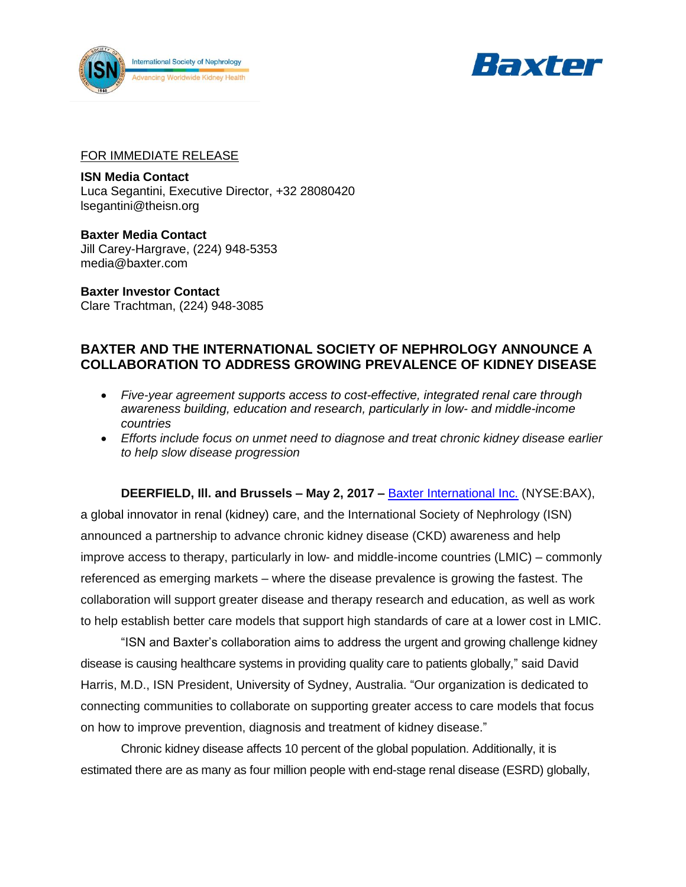



#### FOR IMMEDIATE RELEASE

**ISN Media Contact** Luca Segantini, Executive Director, +32 28080420 lsegantini@theisn.org

**Baxter Media Contact** Jill Carey-Hargrave, (224) 948-5353 media@baxter.com

**Baxter Investor Contact** Clare Trachtman, (224) 948-3085

# **BAXTER AND THE INTERNATIONAL SOCIETY OF NEPHROLOGY ANNOUNCE A COLLABORATION TO ADDRESS GROWING PREVALENCE OF KIDNEY DISEASE**

- *Five-year agreement supports access to cost-effective, integrated renal care through awareness building, education and research, particularly in low- and middle-income countries*
- *Efforts include focus on unmet need to diagnose and treat chronic kidney disease earlier to help slow disease progression*

# **DEERFIELD, Ill. and Brussels – May 2, 2017 –** [Baxter International Inc.](http://www.baxter.com/index.page?) (NYSE:BAX),

a global innovator in renal (kidney) care, and the International Society of Nephrology (ISN) announced a partnership to advance chronic kidney disease (CKD) awareness and help improve access to therapy, particularly in low- and middle-income countries (LMIC) – commonly referenced as emerging markets – where the disease prevalence is growing the fastest. The collaboration will support greater disease and therapy research and education, as well as work to help establish better care models that support high standards of care at a lower cost in LMIC.

"ISN and Baxter's collaboration aims to address the urgent and growing challenge kidney disease is causing healthcare systems in providing quality care to patients globally," said David Harris, M.D., ISN President, University of Sydney, Australia. "Our organization is dedicated to connecting communities to collaborate on supporting greater access to care models that focus on how to improve prevention, diagnosis and treatment of kidney disease."

Chronic kidney disease affects 10 percent of the global population. Additionally, it is estimated there are as many as four million people with end-stage renal disease (ESRD) globally,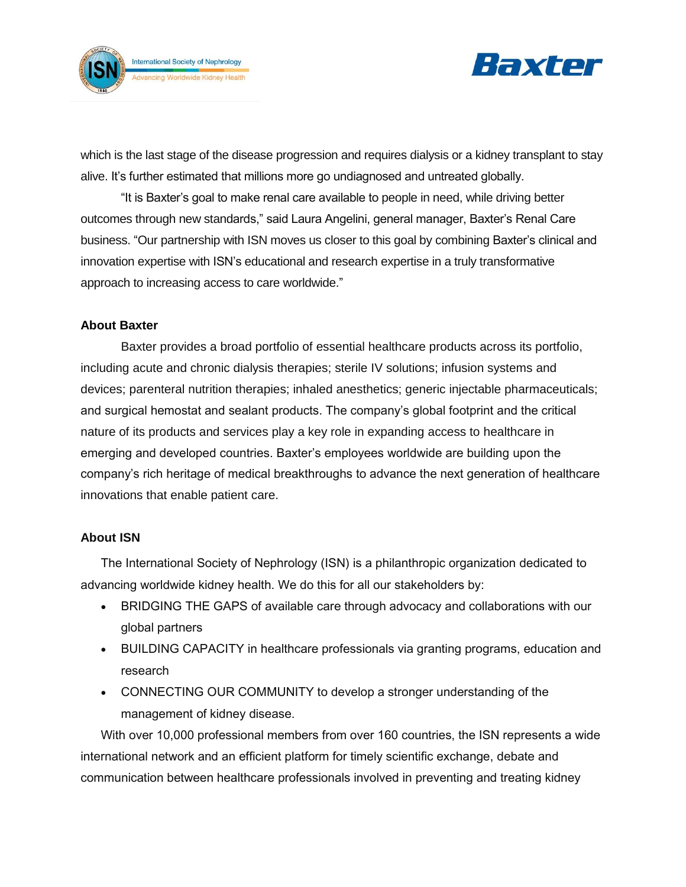



which is the last stage of the disease progression and requires dialysis or a kidney transplant to stay alive. It's further estimated that millions more go undiagnosed and untreated globally.

"It is Baxter's goal to make renal care available to people in need, while driving better outcomes through new standards," said Laura Angelini, general manager, Baxter's Renal Care business. "Our partnership with ISN moves us closer to this goal by combining Baxter's clinical and innovation expertise with ISN's educational and research expertise in a truly transformative approach to increasing access to care worldwide."

## **About Baxter**

Baxter provides a broad portfolio of essential healthcare products across its portfolio, including acute and chronic dialysis therapies; sterile IV solutions; infusion systems and devices; parenteral nutrition therapies; inhaled anesthetics; generic injectable pharmaceuticals; and surgical hemostat and sealant products. The company's global footprint and the critical nature of its products and services play a key role in expanding access to healthcare in emerging and developed countries. Baxter's employees worldwide are building upon the company's rich heritage of medical breakthroughs to advance the next generation of healthcare innovations that enable patient care.

### **About ISN**

The International Society of Nephrology (ISN) is a philanthropic organization dedicated to advancing worldwide kidney health. We do this for all our stakeholders by:

- BRIDGING THE GAPS of available care through advocacy and collaborations with our global partners
- BUILDING CAPACITY in healthcare professionals via granting programs, education and research
- CONNECTING OUR COMMUNITY to develop a stronger understanding of the management of kidney disease.

With over 10,000 professional members from over 160 countries, the ISN represents a wide international network and an efficient platform for timely scientific exchange, debate and communication between healthcare professionals involved in preventing and treating kidney